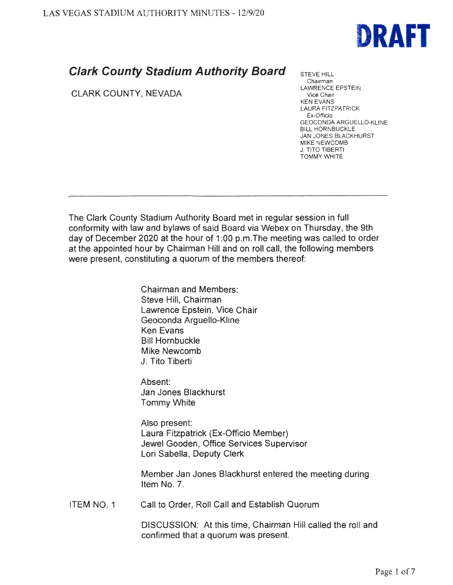

## **Clark County Stadium Authority Board**

CLARK COUNTY, NEVADA

STEVE HILL Chairman LAWRENCE EPSTEIN Vice Chair KEN EVANS LAURA FITZPATRICK Ex-Officio GEOCONDA ARGUELLO-KLINE BILL HORNBUCKLE JAN JONES BLACKHURST MIKE NEWCOMB **J. TITO TIBERTI** TOMMY WHITE

The Clark County Stadium Authority Board met in regular session in full conformity with law and bylaws of said Board via Webex on Thursday, the 9th day of December 2020 at the hour of 1:00 p.m. The meeting was called to order at the appointed hour by Chairman Hill and on roll call, the following members were present, constituting a quorum of the members thereof:

> Chairman and Members: Steve Hill, Chairman Lawrence Epstein, Vice Chair Geoconda Arguello-Kline Ken Evans Bill Hornbuckle Mike Newcomb J. Tito Tiberti

Absent: Jan Jones Blackhurst Tommy White

Also present: Laura Fitzpatrick (Ex-Officio Member) Jewel Gooden, Office Services Supervisor Lori Sabella, Deputy Clerk

Member Jan Jones Blackhurst entered the meeting during Item No. 7.

ITEM NO. 1 Call to Order, Roll Call and Establish Quorum

> DISCUSSION: At this time, Chairman Hill called the roll and confirmed that a quorum was present.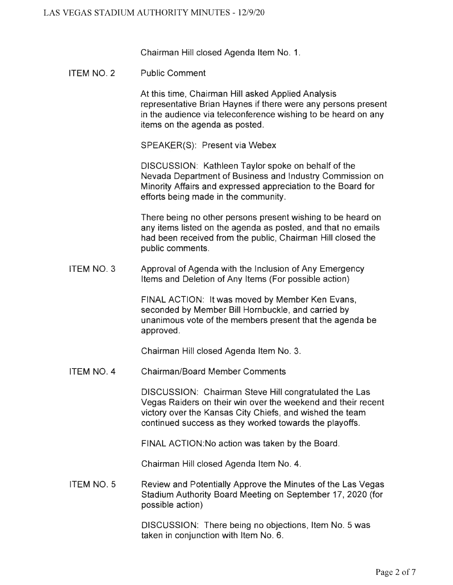Chairman Hill closed Agenda Item No. 1.

ITEM NO. 2 Public Comment

> At this time, Chairman Hill asked Applied Analysis representative Brian Haynes if there were any persons present in the audience via teleconference wishing to be heard on any items on the agenda as posted.

SPEAKER(S): Present via Webex

DISCUSSION: Kathleen Taylor spoke on behalf of the Nevada Department of Business and Industry Commission on Minority Affairs and expressed appreciation to the Board for efforts being made in the community.

There being no other persons present wishing to be heard on any items listed on the agenda as posted, and that no emails had been received from the public, Chairman Hill closed the public comments.

ITEM NO. 3 Approval of Agenda with the Inclusion of Any Emergency Items and Deletion of Any Items (For possible action)

> FINAL ACTION: It was moved by Member Ken Evans, seconded by Member Bill Hornbuckle, and carried by unanimous vote of the members present that the agenda be approved.

Chairman Hill closed Agenda Item No. 3.

ITEM NO. 4 Chairman/Board Member Comments

> DISCUSSION: Chairman Steve Hill congratulated the Las Vegas Raiders on their win over the weekend and their recent victory over the Kansas City Chiefs, and wished the team continued success as they worked towards the playoffs.

FINAL ACTION:No action was taken by the Board.

Chairman Hill closed Agenda Item No. 4.

ITEM NO. 5 Review and Potentially Approve the Minutes of the Las Vegas Stadium Authority Board Meeting on September 17, 2020 (for possible action)

> DISCUSSION: There being no objections, Item No. 5 was taken in conjunction with Item No. 6.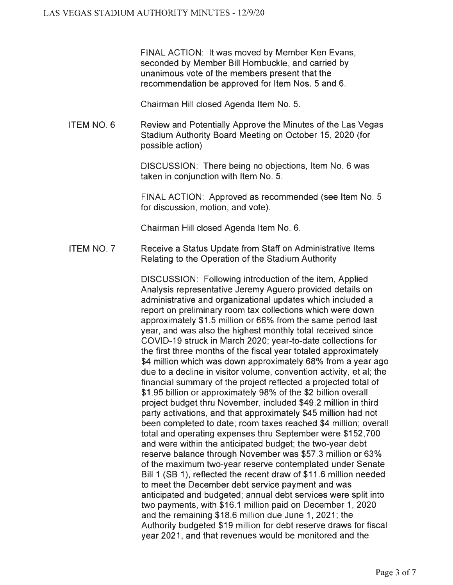FINAL ACTION: It was moved by Member Ken Evans, seconded by Member Bill Hornbuckle, and carried by unanimous vote of the members present that the recommendation be approved for Item Nos. 5 and 6.

Chairman Hill closed Agenda Item No. 5.

ITEM NO. 6 Review and Potentially Approve the Minutes of the Las Vegas Stadium Authority Board Meeting on October 15, 2020 (for possible action)

> DISCUSSION: There being no objections, Item No. 6 was taken in conjunction with Item No. 5.

FINAL ACTION: Approved as recommended (see Item No. 5 for discussion, motion, and vote).

Chairman Hill closed Agenda Item No. 6.

ITEM NO. 7 Receive a Status Update from Staff on Administrative Items Relating to the Operation of the Stadium Authority

> DISCUSSION: Following introduction of the item, Applied Analysis representative Jeremy Aguero provided details on administrative and organizational updates which included a report on preliminary room tax collections which were down approximately \$1.5 million or 66% from the same period last year, and was also the highest monthly total received since COVID-19 struck in March 2020; year-to-date collections for the first three months of the fiscal year totaled approximately \$4 million which was down approximately 68% from a year ago due to a decline in visitor volume, convention activity, et al; the financial summary of the project reflected a projected total of \$1 .95 billion or approximately 98% of the \$2 billion overall project budget thru November, included \$49.2 million in third party activations, and that approximately \$45 million had not been completed to date; room taxes reached \$4 million; overall total and operating expenses thru September were \$152,700 and were within the anticipated budget; the two-year debt reserve balance through November was \$57.3 million or 63% of the maximum two-year reserve contemplated under Senate Bill 1 (SB 1), reflected the recent draw of \$11.6 million needed to meet the December debt service payment and was anticipated and budgeted; annual debt services were split into two payments, with \$16.1 million paid on December 1, 2020 and the remaining \$18.6 million due June 1, 2021; the Authority budgeted \$19 million for debt reserve draws for fiscal year 2021, and that revenues would be monitored and the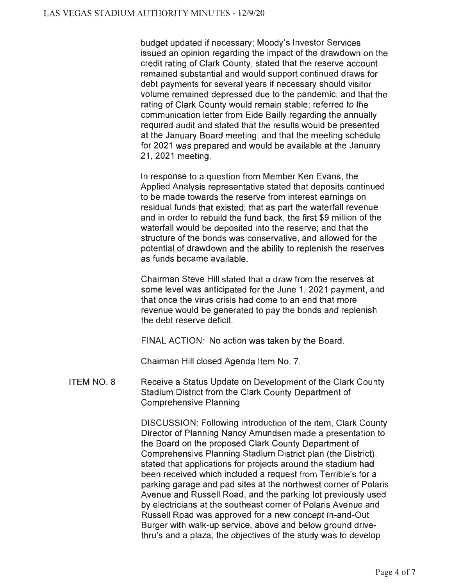budget updated if necessary; Moody's Investor Services issued an opinion regarding the impact of the drawdown on the credit rating of Clark County, stated that the reserve account remained substantial and would support continued draws for debt payments for several years if necessary should visitor volume remained depressed due to the pandemic, and that the rating of Clark County would remain stable; referred to the communication letter from Eide Bailly regarding the annually required audit and stated that the results would be presented at the January Board meeting; and that the meeting schedule for 2021 was prepared and would be available at the January 21 , 2021 meeting.

In response to a question from Member Ken Evans, the Applied Analysis representative stated that deposits continued to be made towards the reserve from interest earnings on residual funds that existed; that as part the waterfall revenue and in order to rebuild the fund back, the first \$9 million of the waterfall would be deposited into the reserve; and that the structure of the bonds was conservative, and allowed for the potential of drawdown and the ability to replenish the reserves as funds became available.

Chairman Steve Hill stated that a draw from the reserves at some level was anticipated for the June 1, 2021 payment, and that once the virus crisis had come to an end that more revenue would be generated to pay the bonds and replenish the debt reserve deficit.

FINAL ACTION: No action was taken by the Board.

Chairman Hill closed Agenda Item No. 7.

ITEM NO. 8 Receive a Status Update on Development of the Clark County Stadium District from the Clark County Department of Comprehensive Planning

> DISCUSSION: Following introduction of the item, Clark County Director of Planning Nancy Amundsen made a presentation to the Board on the proposed Clark County Department of Comprehensive Planning Stadium District plan (the District), stated that applications for projects around the stadium had been received which included a request from Terrible's for a parking garage and pad sites at the northwest corner of Polaris Avenue and Russell Road, and the parking lot previously used by electricians at the southeast corner of Polaris Avenue and Russell Road was approved for a new concept In-and-Out Burger with walk-up service, above and below ground drivethru's and a plaza; the objectives of the study was to develop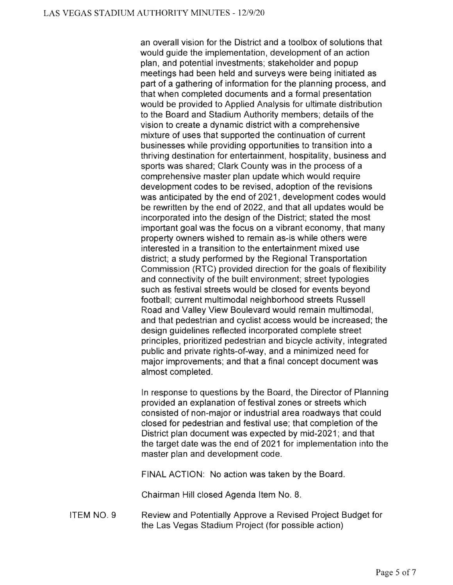an overall vision for the District and a toolbox of solutions that would guide the implementation, development of an action plan, and potential investments; stakeholder and popup meetings had been held and surveys were being initiated as part of a gathering of information for the planning process, and that when completed documents and a formal presentation would be provided to Applied Analysis for ultimate distribution to the Board and Stadium Authority members; details of the vision to create a dynamic district with a comprehensive mixture of uses that supported the continuation of current businesses while providing opportunities to transition into a thriving destination for entertainment, hospitality, business and sports was shared; Clark County was in the process of a comprehensive master plan update which would require development codes to be revised, adoption of the revisions was anticipated by the end of 2021, development codes would be rewritten by the end of 2022, and that all updates would be incorporated into the design of the District; stated the most important goal was the focus on a vibrant economy, that many property owners wished to remain as-is while others were interested in a transition to the entertainment mixed use district; a study performed by the Regional Transportation Commission (RTC) provided direction for the goals of flexibility and connectivity of the built environment; street typologies such as festival streets would be closed for events beyond football; current multimodal neighborhood streets Russell Road and Valley View Boulevard would remain multimodal, and that pedestrian and cyclist access would be increased; the design guidelines reflected incorporated complete street principles, prioritized pedestrian and bicycle activity, integrated public and private rights-of-way, and a minimized need for major improvements; and that a final concept document was almost completed.

In response to questions by the Board, the Director of Planning provided an explanation of festival zones or streets which consisted of non-major or industrial area roadways that could closed for pedestrian and festival use; that completion of the District plan document was expected by mid-2021; and that the target date was the end of 2021 for implementation into the master plan and development code.

FINAL ACTION: No action was taken by the Board.

Chairman Hill closed Agenda Item No. 8.

ITEM NO. 9 Review and Potentially Approve a Revised Project Budget for the Las Vegas Stadium Project (for possible action)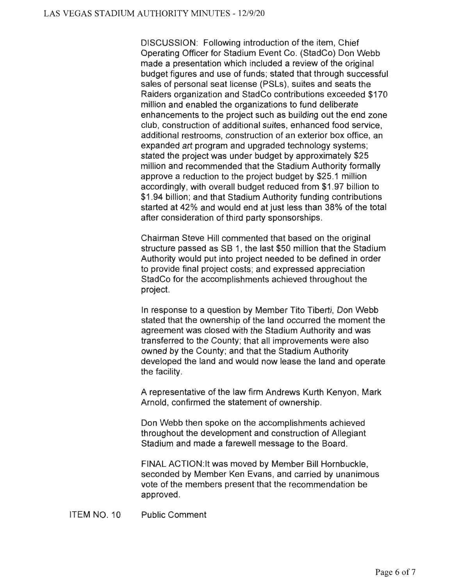DISCUSSION: Following introduction of the item, Chief Operating Officer for Stadium Event Co. (StadCo) Don Webb made a presentation which included a review of the original budget figures and use of funds; stated that through successful sales of personal seat license (PSLs), suites and seats the Raiders organization and StadCo contributions exceeded \$170 million and enabled the organizations to fund deliberate enhancements to the project such as building out the end zone club, construction of additional suites, enhanced food service, additional restrooms, construction of an exterior box office, an expanded art program and upgraded technology systems; stated the project was under budget by approximately \$25 million and recommended that the Stadium Authority formally approve a reduction to the project budget by \$25.1 million accordingly, with overall budget reduced from \$1 .97 billion to \$1 .94 billion; and that Stadium Authority funding contributions started at 42% and would end at just less than 38% of the total after consideration of third party sponsorships.

Chairman Steve Hill commented that based on the original structure passed as SB 1, the last \$50 million that the Stadium Authority would put into project needed to be defined in order to provide final project costs; and expressed appreciation StadCo for the accomplishments achieved throughout the project.

In response to a question by Member Tito Tiberti, Don Webb stated that the ownership of the land occurred the moment the agreement was closed with the Stadium Authority and was transferred to the County; that all improvements were also owned by the County; and that the Stadium Authority developed the land and would now lease the land and operate the facility.

A representative of the law firm Andrews Kurth Kenyon, Mark Arnold, confirmed the statement of ownership.

Don Webb then spoke on the accomplishments achieved throughout the development and construction of Allegiant Stadium and made a farewell message to the Board.

FINAL ACTION:lt was moved by Member Bill Hornbuckle, seconded by Member Ken Evans, and carried by unanimous vote of the members present that the recommendation be approved.

ITEM NO. 10 Public Comment